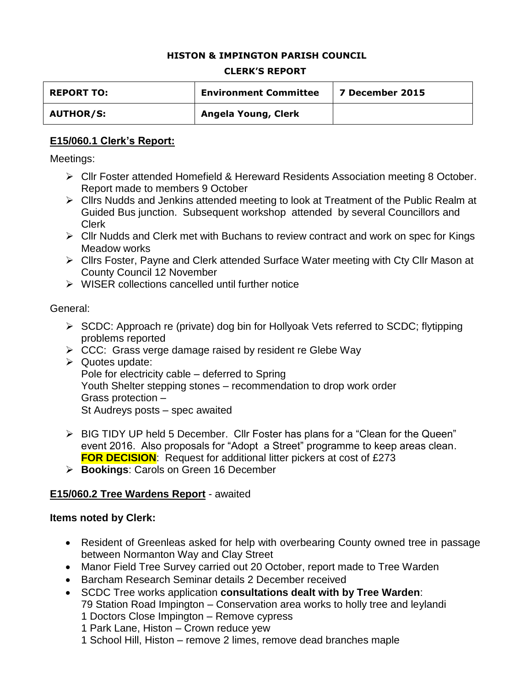### **HISTON & IMPINGTON PARISH COUNCIL**

#### **CLERK'S REPORT**

| <b>REPORT TO:</b> | <b>Environment Committee</b> | 7 December 2015 |
|-------------------|------------------------------|-----------------|
| <b>AUTHOR/S:</b>  | Angela Young, Clerk          |                 |

### **E15/060.1 Clerk's Report:**

Meetings:

- Cllr Foster attended Homefield & Hereward Residents Association meeting 8 October. Report made to members 9 October
- $\triangleright$  Cllrs Nudds and Jenkins attended meeting to look at Treatment of the Public Realm at Guided Bus junction. Subsequent workshop attended by several Councillors and Clerk
- Cllr Nudds and Clerk met with Buchans to review contract and work on spec for Kings Meadow works
- Cllrs Foster, Payne and Clerk attended Surface Water meeting with Cty Cllr Mason at County Council 12 November
- $\triangleright$  WISER collections cancelled until further notice

General:

- $\triangleright$  SCDC: Approach re (private) dog bin for Hollyoak Vets referred to SCDC; flytipping problems reported
- $\triangleright$  CCC: Grass verge damage raised by resident re Glebe Way
- $\triangleright$  Quotes update: Pole for electricity cable – deferred to Spring Youth Shelter stepping stones – recommendation to drop work order Grass protection – St Audreys posts – spec awaited
- BIG TIDY UP held 5 December. Cllr Foster has plans for a "Clean for the Queen" event 2016. Also proposals for "Adopt a Street" programme to keep areas clean. **FOR DECISION**: Request for additional litter pickers at cost of £273
- **Bookings**: Carols on Green 16 December

### **E15/060.2 Tree Wardens Report** - awaited

### **Items noted by Clerk:**

- Resident of Greenleas asked for help with overbearing County owned tree in passage between Normanton Way and Clay Street
- Manor Field Tree Survey carried out 20 October, report made to Tree Warden
- Barcham Research Seminar details 2 December received
- SCDC Tree works application **consultations dealt with by Tree Warden**: 79 Station Road Impington – Conservation area works to holly tree and leylandi 1 Doctors Close Impington – Remove cypress
	- 1 Park Lane, Histon Crown reduce yew
	- 1 School Hill, Histon remove 2 limes, remove dead branches maple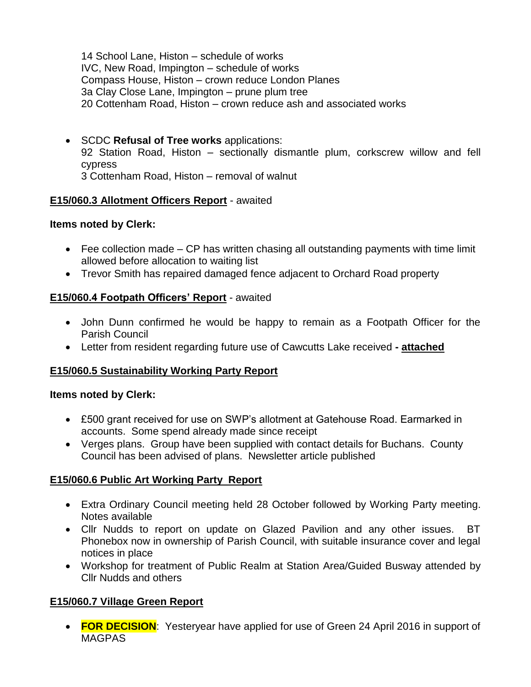14 School Lane, Histon – schedule of works IVC, New Road, Impington – schedule of works Compass House, Histon – crown reduce London Planes 3a Clay Close Lane, Impington – prune plum tree 20 Cottenham Road, Histon – crown reduce ash and associated works

 SCDC **Refusal of Tree works** applications: 92 Station Road, Histon – sectionally dismantle plum, corkscrew willow and fell cypress 3 Cottenham Road, Histon – removal of walnut

# **E15/060.3 Allotment Officers Report** - awaited

# **Items noted by Clerk:**

- Fee collection made CP has written chasing all outstanding payments with time limit allowed before allocation to waiting list
- Trevor Smith has repaired damaged fence adjacent to Orchard Road property

# **E15/060.4 Footpath Officers' Report** - awaited

- John Dunn confirmed he would be happy to remain as a Footpath Officer for the Parish Council
- Letter from resident regarding future use of Cawcutts Lake received **- attached**

# **E15/060.5 Sustainability Working Party Report**

# **Items noted by Clerk:**

- £500 grant received for use on SWP's allotment at Gatehouse Road. Earmarked in accounts. Some spend already made since receipt
- Verges plans. Group have been supplied with contact details for Buchans. County Council has been advised of plans. Newsletter article published

# **E15/060.6 Public Art Working Party Report**

- Extra Ordinary Council meeting held 28 October followed by Working Party meeting. Notes available
- Cllr Nudds to report on update on Glazed Pavilion and any other issues. BT Phonebox now in ownership of Parish Council, with suitable insurance cover and legal notices in place
- Workshop for treatment of Public Realm at Station Area/Guided Busway attended by Cllr Nudds and others

# **E15/060.7 Village Green Report**

 **FOR DECISION**: Yesteryear have applied for use of Green 24 April 2016 in support of MAGPAS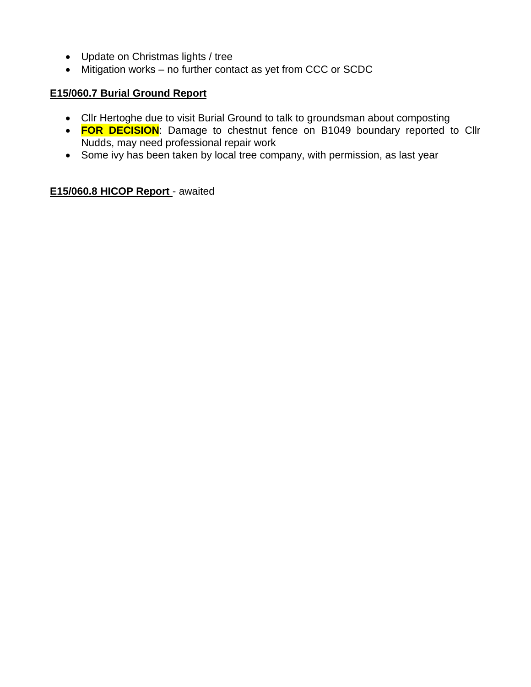- Update on Christmas lights / tree
- Mitigation works no further contact as yet from CCC or SCDC

## **E15/060.7 Burial Ground Report**

- Cllr Hertoghe due to visit Burial Ground to talk to groundsman about composting
- **FOR DECISION:** Damage to chestnut fence on B1049 boundary reported to Cllr Nudds, may need professional repair work
- Some ivy has been taken by local tree company, with permission, as last year

# **E15/060.8 HICOP Report** - awaited